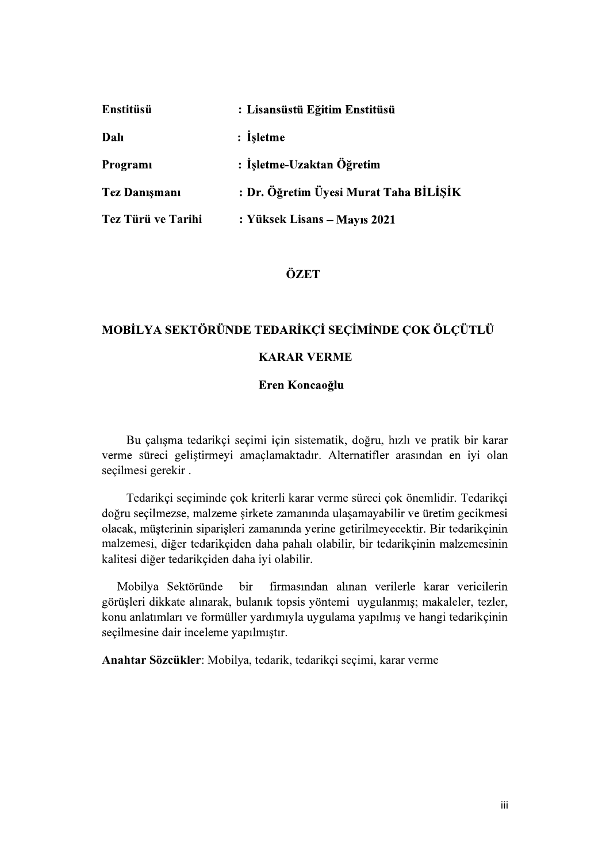| Enstitüsü            | : Lisansüstü Eğitim Enstitüsü          |
|----------------------|----------------------------------------|
| Dalı                 | : Isletme                              |
| Programi             | : İşletme-Uzaktan Öğretim              |
| <b>Tez Danışmanı</b> | : Dr. Öğretim Üyesi Murat Taha BİLİŞİK |
| Tez Türü ve Tarihi   | : Yüksek Lisans – Mayıs 2021           |

# ÖZET

# MOBİLYA SEKTÖRÜNDE TEDARİKÇİ SEÇİMİNDE ÇOK ÖLÇÜTLÜ KARAR VERME

### Eren Koncaoğlu

Bu çalışma tedarikçi seçimi için sistematik, doğru, hızlı ve pratik bir karar verme süreci geliştirmeyi amaçlamaktadır. Alternatifler arasından en iyi olan seçilmesi gerekir.

 Tedarikçi seçiminde çok kriterli karar verme süreci çok önemlidir. Tedarikçi doğru seçilmezse, malzeme sirkete zamanında ulaşamayabilir ve üretim geçikmesi olacak, müşterinin siparişleri zamanında yerine getirilmeyecektir. Bir tedarikçinin malzemesi, diğer tedarikçiden daha pahalı olabilir, bir tedarikçinin malzemesinin kalitesi diğer tedarikçiden daha iyi olabilir.

firmasından alınan verilerle karar vericilerin Mobilya Sektöründe bir görüşleri dikkate alınarak, bulanık topsis yöntemi uygulanmış; makaleler, tezler, konu anlatımları ve formüller yardımıyla uygulama yapılmış ve hangi tedarikçinin seçilmesine dair inceleme yapılmıştır.

Anahtar Sözcükler: Mobilya, tedarik, tedarikçi seçimi, karar verme